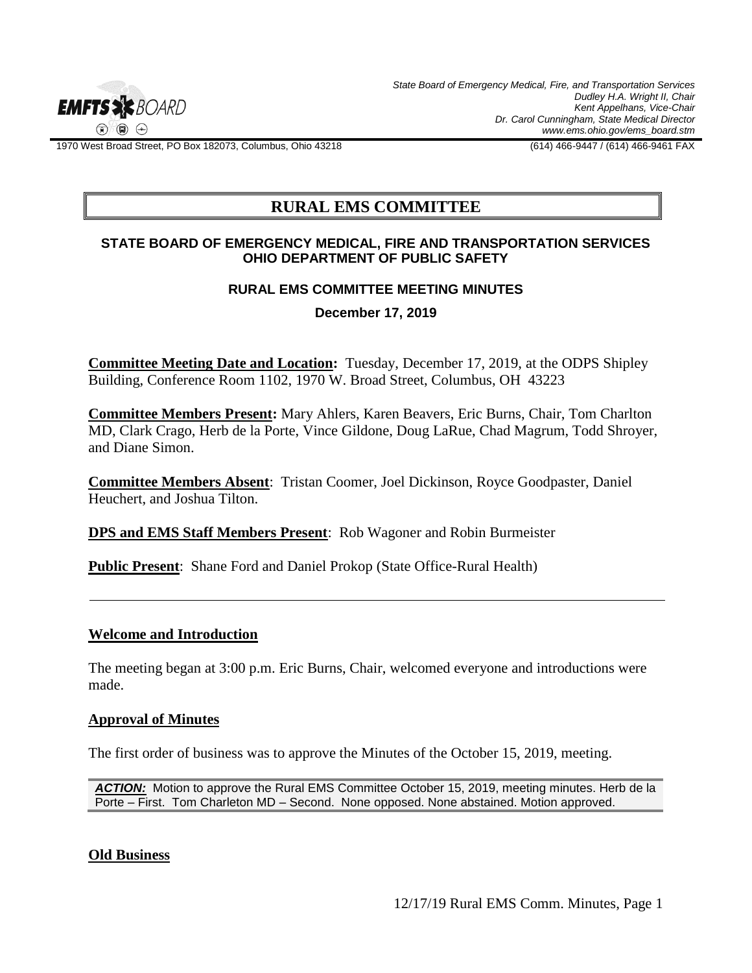

*State Board of Emergency Medical, Fire, and Transportation Services Dudley H.A. Wright II, Chair Kent Appelhans, Vice-Chair Dr. Carol Cunningham, State Medical Director www.ems.ohio.gov/ems\_board.stm*

1970 West Broad Street, PO Box 182073, Columbus, Ohio 43218 (614) 466-9447 / (614) 466-9461 FAX

# **RURAL EMS COMMITTEE**

### **STATE BOARD OF EMERGENCY MEDICAL, FIRE AND TRANSPORTATION SERVICES OHIO DEPARTMENT OF PUBLIC SAFETY**

#### **RURAL EMS COMMITTEE MEETING MINUTES**

**December 17, 2019**

**Committee Meeting Date and Location:** Tuesday, December 17, 2019, at the ODPS Shipley Building, Conference Room 1102, 1970 W. Broad Street, Columbus, OH 43223

**Committee Members Present:** Mary Ahlers, Karen Beavers, Eric Burns, Chair, Tom Charlton MD, Clark Crago, Herb de la Porte, Vince Gildone, Doug LaRue, Chad Magrum, Todd Shroyer, and Diane Simon.

**Committee Members Absent**: Tristan Coomer, Joel Dickinson, Royce Goodpaster, Daniel Heuchert, and Joshua Tilton.

**DPS and EMS Staff Members Present**: Rob Wagoner and Robin Burmeister

**Public Present:** Shane Ford and Daniel Prokop (State Office-Rural Health)

## **Welcome and Introduction**

The meeting began at 3:00 p.m. Eric Burns, Chair, welcomed everyone and introductions were made.

#### **Approval of Minutes**

The first order of business was to approve the Minutes of the October 15, 2019, meeting.

*ACTION:* Motion to approve the Rural EMS Committee October 15, 2019, meeting minutes. Herb de la Porte – First. Tom Charleton MD – Second. None opposed. None abstained. Motion approved.

#### **Old Business**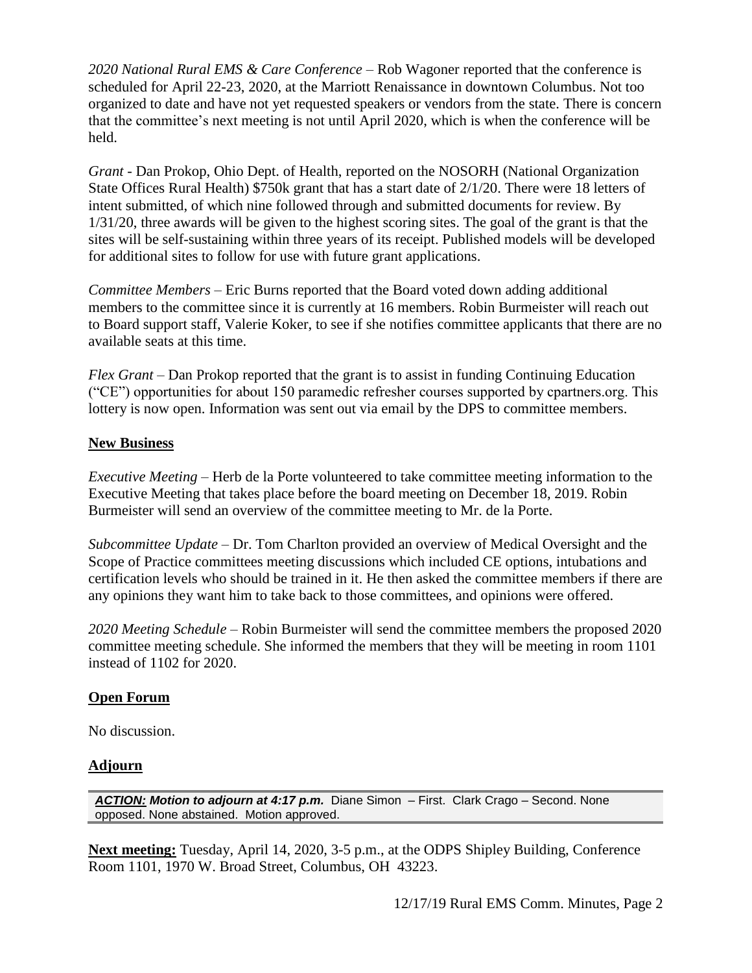*2020 National Rural EMS & Care Conference* – Rob Wagoner reported that the conference is scheduled for April 22-23, 2020, at the Marriott Renaissance in downtown Columbus. Not too organized to date and have not yet requested speakers or vendors from the state. There is concern that the committee's next meeting is not until April 2020, which is when the conference will be held.

*Grant* - Dan Prokop, Ohio Dept. of Health, reported on the NOSORH (National Organization State Offices Rural Health) \$750k grant that has a start date of 2/1/20. There were 18 letters of intent submitted, of which nine followed through and submitted documents for review. By 1/31/20, three awards will be given to the highest scoring sites. The goal of the grant is that the sites will be self-sustaining within three years of its receipt. Published models will be developed for additional sites to follow for use with future grant applications.

*Committee Members* – Eric Burns reported that the Board voted down adding additional members to the committee since it is currently at 16 members. Robin Burmeister will reach out to Board support staff, Valerie Koker, to see if she notifies committee applicants that there are no available seats at this time.

*Flex Grant* – Dan Prokop reported that the grant is to assist in funding Continuing Education ("CE") opportunities for about 150 paramedic refresher courses supported by cpartners.org. This lottery is now open. Information was sent out via email by the DPS to committee members.

# **New Business**

*Executive Meeting* – Herb de la Porte volunteered to take committee meeting information to the Executive Meeting that takes place before the board meeting on December 18, 2019. Robin Burmeister will send an overview of the committee meeting to Mr. de la Porte.

*Subcommittee Update* – Dr. Tom Charlton provided an overview of Medical Oversight and the Scope of Practice committees meeting discussions which included CE options, intubations and certification levels who should be trained in it. He then asked the committee members if there are any opinions they want him to take back to those committees, and opinions were offered.

*2020 Meeting Schedule* – Robin Burmeister will send the committee members the proposed 2020 committee meeting schedule. She informed the members that they will be meeting in room 1101 instead of 1102 for 2020.

## **Open Forum**

No discussion.

# **Adjourn**

*ACTION: Motion to adjourn at 4:17 p.m.* Diane Simon – First. Clark Crago – Second. None opposed. None abstained. Motion approved.

**Next meeting:** Tuesday, April 14, 2020, 3-5 p.m., at the ODPS Shipley Building, Conference Room 1101, 1970 W. Broad Street, Columbus, OH 43223.